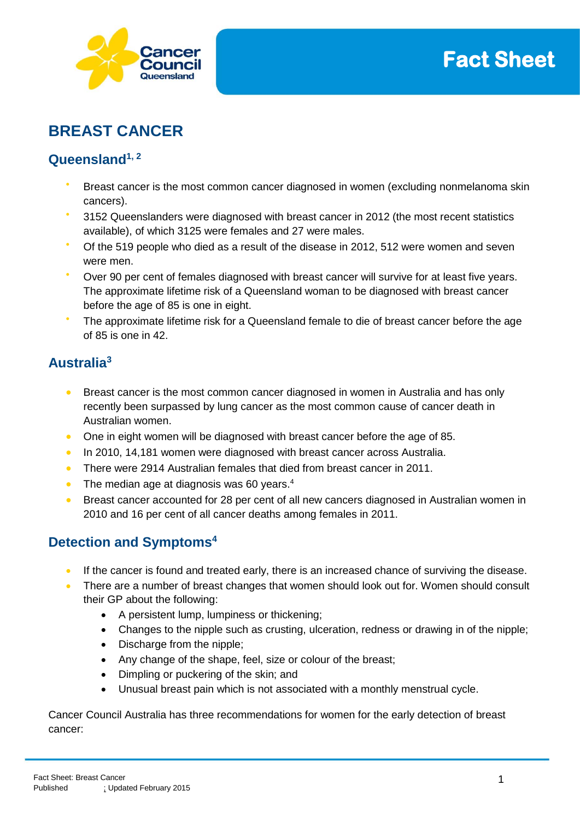

# **BREAST CANCER**

# **Queensland1, 2**

- Breast cancer is the most common cancer diagnosed in women (excluding nonmelanoma skin cancers).
- 3152 Queenslanders were diagnosed with breast cancer in 2012 (the most recent statistics available), of which 3125 were females and 27 were males.
- Of the 519 people who died as a result of the disease in 2012, 512 were women and seven were men.
- Over 90 per cent of females diagnosed with breast cancer will survive for at least five years. The approximate lifetime risk of a Queensland woman to be diagnosed with breast cancer before the age of 85 is one in eight.
- The approximate lifetime risk for a Queensland female to die of breast cancer before the age of 85 is one in 42.

# **Australia<sup>3</sup>**

- Breast cancer is the most common cancer diagnosed in women in Australia and has only recently been surpassed by lung cancer as the most common cause of cancer death in Australian women.
- One in eight women will be diagnosed with breast cancer before the age of 85.
- In 2010, 14,181 women were diagnosed with breast cancer across Australia.
- There were 2914 Australian females that died from breast cancer in 2011.
- $\bullet$  The median age at diagnosis was 60 years.<sup>4</sup>
- Breast cancer accounted for 28 per cent of all new cancers diagnosed in Australian women in 2010 and 16 per cent of all cancer deaths among females in 2011.

# **Detection and Symptoms<sup>4</sup>**

- If the cancer is found and treated early, there is an increased chance of surviving the disease.
- There are a number of breast changes that women should look out for. Women should consult their GP about the following:
	- A persistent lump, lumpiness or thickening;
	- Changes to the nipple such as crusting, ulceration, redness or drawing in of the nipple;
	- Discharge from the nipple;
	- Any change of the shape, feel, size or colour of the breast;
	- Dimpling or puckering of the skin; and
	- Unusual breast pain which is not associated with a monthly menstrual cycle.

Cancer Council Australia has three recommendations for women for the early detection of breast cancer: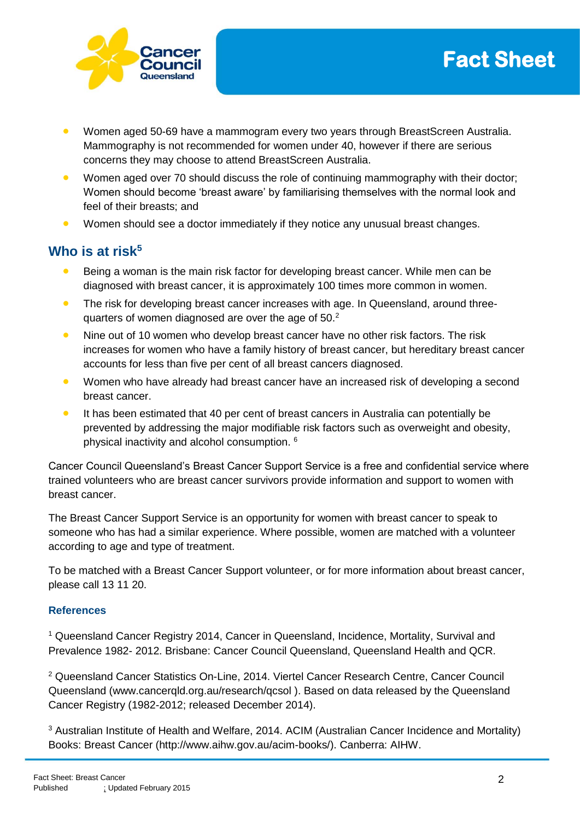



- Women aged 50-69 have a mammogram every two years through BreastScreen Australia. Mammography is not recommended for women under 40, however if there are serious concerns they may choose to attend BreastScreen Australia.
- **Women aged over 70 should discuss the role of continuing mammography with their doctor;** Women should become 'breast aware' by familiarising themselves with the normal look and feel of their breasts; and
- Women should see a doctor immediately if they notice any unusual breast changes.

# **Who is at risk<sup>5</sup>**

- Being a woman is the main risk factor for developing breast cancer. While men can be diagnosed with breast cancer, it is approximately 100 times more common in women.
- The risk for developing breast cancer increases with age. In Queensland, around threequarters of women diagnosed are over the age of 50.<sup>2</sup>
- Nine out of 10 women who develop breast cancer have no other risk factors. The risk increases for women who have a family history of breast cancer, but hereditary breast cancer accounts for less than five per cent of all breast cancers diagnosed.
- **•** Women who have already had breast cancer have an increased risk of developing a second breast cancer.
- **It has been estimated that 40 per cent of breast cancers in Australia can potentially be** prevented by addressing the major modifiable risk factors such as overweight and obesity, physical inactivity and alcohol consumption. <sup>6</sup>

Cancer Council Queensland's Breast Cancer Support Service is a free and confidential service where trained volunteers who are breast cancer survivors provide information and support to women with breast cancer.

The Breast Cancer Support Service is an opportunity for women with breast cancer to speak to someone who has had a similar experience. Where possible, women are matched with a volunteer according to age and type of treatment.

To be matched with a Breast Cancer Support volunteer, or for more information about breast cancer, please call 13 11 20.

#### **References**

<sup>1</sup> Queensland Cancer Registry 2014, Cancer in Queensland, Incidence, Mortality, Survival and Prevalence 1982- 2012. Brisbane: Cancer Council Queensland, Queensland Health and QCR.

<sup>2</sup> Queensland Cancer Statistics On-Line, 2014. Viertel Cancer Research Centre, Cancer Council Queensland (www.cancerqld.org.au/research/qcsol ). Based on data released by the Queensland Cancer Registry (1982-2012; released December 2014).

<sup>3</sup> Australian Institute of Health and Welfare, 2014. ACIM (Australian Cancer Incidence and Mortality) Books: Breast Cancer (http://www.aihw.gov.au/acim-books/). Canberra: AIHW.